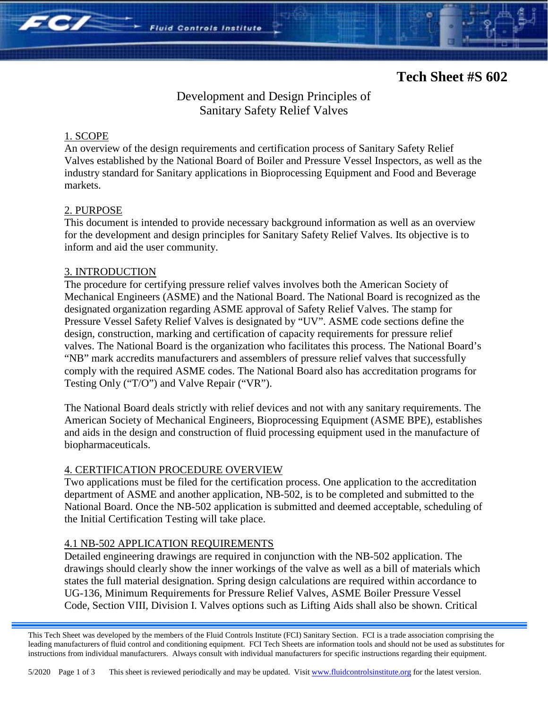## Development and Design Principles of Sanitary Safety Relief Valves

**Fluid Controls Institute** 

### 1. SCOPE

**FC/** 

An overview of the design requirements and certification process of Sanitary Safety Relief Valves established by the National Board of Boiler and Pressure Vessel Inspectors, as well as the industry standard for Sanitary applications in Bioprocessing Equipment and Food and Beverage markets.

### 2. PURPOSE

This document is intended to provide necessary background information as well as an overview for the development and design principles for Sanitary Safety Relief Valves. Its objective is to inform and aid the user community.

#### 3. INTRODUCTION

The procedure for certifying pressure relief valves involves both the American Society of Mechanical Engineers (ASME) and the National Board. The National Board is recognized as the designated organization regarding ASME approval of Safety Relief Valves. The stamp for Pressure Vessel Safety Relief Valves is designated by "UV". ASME code sections define the design, construction, marking and certification of capacity requirements for pressure relief valves. The National Board is the organization who facilitates this process. The National Board's "NB" mark accredits manufacturers and assemblers of pressure relief valves that successfully comply with the required ASME codes. The National Board also has accreditation programs for Testing Only ("T/O") and Valve Repair ("VR").

The National Board deals strictly with relief devices and not with any sanitary requirements. The American Society of Mechanical Engineers, Bioprocessing Equipment (ASME BPE), establishes and aids in the design and construction of fluid processing equipment used in the manufacture of biopharmaceuticals.

### 4. CERTIFICATION PROCEDURE OVERVIEW

Two applications must be filed for the certification process. One application to the accreditation department of ASME and another application, NB-502, is to be completed and submitted to the National Board. Once the NB-502 application is submitted and deemed acceptable, scheduling of the Initial Certification Testing will take place.

### 4.1 NB-502 APPLICATION REQUIREMENTS

Detailed engineering drawings are required in conjunction with the NB-502 application. The drawings should clearly show the inner workings of the valve as well as a bill of materials which states the full material designation. Spring design calculations are required within accordance to UG-136, Minimum Requirements for Pressure Relief Valves, ASME Boiler Pressure Vessel Code, Section VIII, Division I. Valves options such as Lifting Aids shall also be shown. Critical

This Tech Sheet was developed by the members of the Fluid Controls Institute (FCI) Sanitary Section. FCI is a trade association comprising the leading manufacturers of fluid control and conditioning equipment. FCI Tech Sheets are information tools and should not be used as substitutes for instructions from individual manufacturers. Always consult with individual manufacturers for specific instructions regarding their equipment.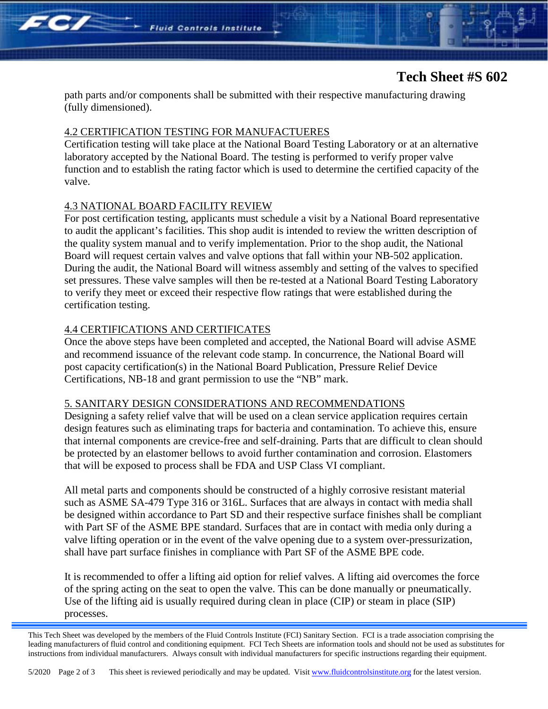# **Tech Sheet #S 602**

path parts and/or components shall be submitted with their respective manufacturing drawing (fully dimensioned).

#### 4.2 CERTIFICATION TESTING FOR MANUFACTUERES

Certification testing will take place at the National Board Testing Laboratory or at an alternative laboratory accepted by the National Board. The testing is performed to verify proper valve function and to establish the rating factor which is used to determine the certified capacity of the valve.

#### 4.3 NATIONAL BOARD FACILITY REVIEW

 $FC/$ 

For post certification testing, applicants must schedule a visit by a National Board representative to audit the applicant's facilities. This shop audit is intended to review the written description of the quality system manual and to verify implementation. Prior to the shop audit, the National Board will request certain valves and valve options that fall within your NB-502 application. During the audit, the National Board will witness assembly and setting of the valves to specified set pressures. These valve samples will then be re-tested at a National Board Testing Laboratory to verify they meet or exceed their respective flow ratings that were established during the certification testing.

#### 4.4 CERTIFICATIONS AND CERTIFICATES

Once the above steps have been completed and accepted, the National Board will advise ASME and recommend issuance of the relevant code stamp. In concurrence, the National Board will post capacity certification(s) in the National Board Publication, Pressure Relief Device Certifications, NB-18 and grant permission to use the "NB" mark.

#### 5. SANITARY DESIGN CONSIDERATIONS AND RECOMMENDATIONS

Designing a safety relief valve that will be used on a clean service application requires certain design features such as eliminating traps for bacteria and contamination. To achieve this, ensure that internal components are crevice-free and self-draining. Parts that are difficult to clean should be protected by an elastomer bellows to avoid further contamination and corrosion. Elastomers that will be exposed to process shall be FDA and USP Class VI compliant.

All metal parts and components should be constructed of a highly corrosive resistant material such as ASME SA-479 Type 316 or 316L. Surfaces that are always in contact with media shall be designed within accordance to Part SD and their respective surface finishes shall be compliant with Part SF of the ASME BPE standard. Surfaces that are in contact with media only during a valve lifting operation or in the event of the valve opening due to a system over-pressurization, shall have part surface finishes in compliance with Part SF of the ASME BPE code.

It is recommended to offer a lifting aid option for relief valves. A lifting aid overcomes the force of the spring acting on the seat to open the valve. This can be done manually or pneumatically. Use of the lifting aid is usually required during clean in place (CIP) or steam in place (SIP) processes.

This Tech Sheet was developed by the members of the Fluid Controls Institute (FCI) Sanitary Section. FCI is a trade association comprising the leading manufacturers of fluid control and conditioning equipment. FCI Tech Sheets are information tools and should not be used as substitutes for instructions from individual manufacturers. Always consult with individual manufacturers for specific instructions regarding their equipment.